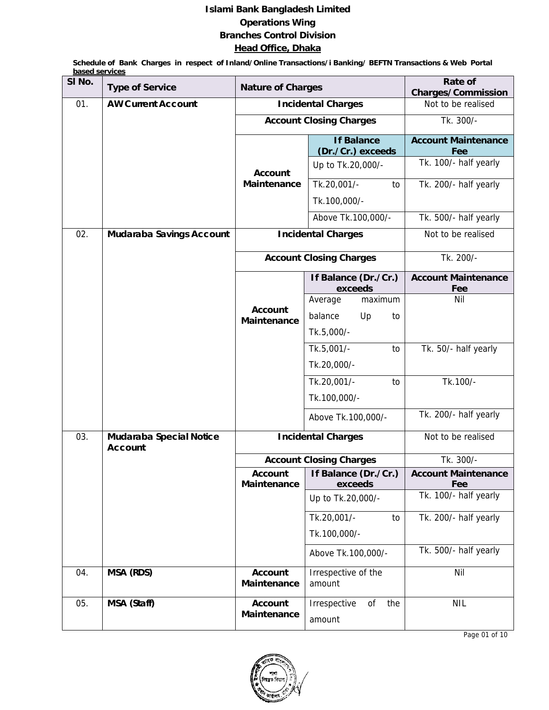## **Islami Bank Bangladesh Limited Operations Wing Branches Control Division Head Office, Dhaka**

 **Schedule of Bank Charges in respect of Inland/Online Transactions/i Banking/ BEFTN Transactions & Web Portal based services**

| SI No. | <b>Type of Service</b>                    | <b>Nature of Charges</b>             | Rate of<br><b>Charges/Commission</b>   |                                   |
|--------|-------------------------------------------|--------------------------------------|----------------------------------------|-----------------------------------|
| 01.    | <b>AW Current Account</b>                 |                                      | <b>Incidental Charges</b>              | Not to be realised                |
|        |                                           |                                      | <b>Account Closing Charges</b>         | Tk. 300/-                         |
|        |                                           |                                      | <b>If Balance</b><br>(Dr./Cr.) exceeds | <b>Account Maintenance</b><br>Fee |
|        |                                           | <b>Account</b>                       | Up to Tk.20,000/-                      | Tk. 100/- half yearly             |
|        |                                           | Maintenance                          | Tk.20,001/-<br>to<br>Tk.100,000/-      | Tk. 200/- half yearly             |
|        |                                           |                                      | Above Tk.100,000/-                     | Tk. 500/- half yearly             |
| 02.    | Mudaraba Savings Account                  |                                      | <b>Incidental Charges</b>              | Not to be realised                |
|        |                                           |                                      | <b>Account Closing Charges</b>         | Tk. 200/-                         |
|        |                                           |                                      | If Balance (Dr./Cr.)<br>exceeds        | <b>Account Maintenance</b><br>Fee |
|        |                                           |                                      | Average<br>maximum                     | <b>Nil</b>                        |
|        |                                           | <b>Account</b><br><b>Maintenance</b> | balance<br>Up<br>to                    |                                   |
|        |                                           |                                      | Tk.5,000/-                             |                                   |
|        |                                           |                                      | Tk.5,001/-<br>to                       | Tk. 50/- half yearly              |
|        |                                           |                                      | Tk.20,000/-                            |                                   |
|        |                                           |                                      | Tk.20,001/-<br>to                      | Tk.100/-                          |
|        |                                           |                                      | Tk.100,000/-                           |                                   |
|        |                                           |                                      | Above Tk.100,000/-                     | Tk. 200/- half yearly             |
| 03.    | Mudaraba Special Notice<br><b>Account</b> |                                      | <b>Incidental Charges</b>              | Not to be realised                |
|        |                                           |                                      | <b>Account Closing Charges</b>         | Tk. 300/-                         |
|        |                                           | <b>Account</b><br>Maintenance        | If Balance (Dr./Cr.)<br>exceeds        | <b>Account Maintenance</b><br>Fee |
|        |                                           |                                      | Up to Tk.20,000/-                      | Tk. 100/- half yearly             |
|        |                                           |                                      | Tk.20,001/-<br>to                      | Tk. 200/- half yearly             |
|        |                                           |                                      | Tk.100,000/-                           |                                   |
|        |                                           |                                      | Above Tk.100,000/-                     | Tk. 500/- half yearly             |
| 04.    | MSA (RDS)                                 | <b>Account</b><br>Maintenance        | Irrespective of the<br>amount          | Nil                               |
| 05.    | MSA (Staff)                               | <b>Account</b>                       | Irrespective<br>the<br>οf              | <b>NIL</b>                        |
|        |                                           | Maintenance                          | amount                                 |                                   |



Page 01 of 10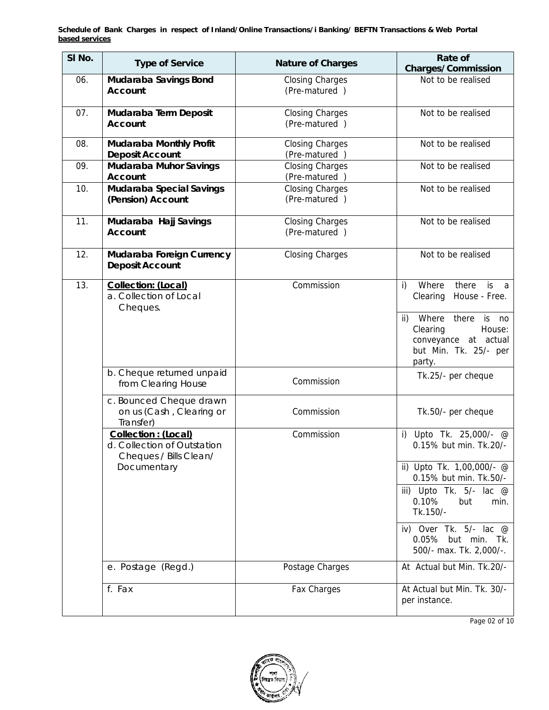| SI No. | <b>Type of Service</b>                                                        | <b>Nature of Charges</b>                | Rate of<br><b>Charges/Commission</b>                                                                                                                                                           |
|--------|-------------------------------------------------------------------------------|-----------------------------------------|------------------------------------------------------------------------------------------------------------------------------------------------------------------------------------------------|
| 06.    | Mudaraba Savings Bond<br><b>Account</b>                                       | <b>Closing Charges</b><br>(Pre-matured) | Not to be realised                                                                                                                                                                             |
| 07.    | Mudaraba Term Deposit<br><b>Account</b>                                       | <b>Closing Charges</b><br>(Pre-matured) | Not to be realised                                                                                                                                                                             |
| 08.    | Mudaraba Monthly Profit<br><b>Deposit Account</b>                             | <b>Closing Charges</b><br>(Pre-matured) | Not to be realised                                                                                                                                                                             |
| 09.    | Mudaraba Muhor Savings<br><b>Account</b>                                      | <b>Closing Charges</b><br>(Pre-matured) | Not to be realised                                                                                                                                                                             |
| 10.    | <b>Mudaraba Special Savings</b><br>(Pension) Account                          | <b>Closing Charges</b><br>(Pre-matured) | Not to be realised                                                                                                                                                                             |
| 11.    | Mudaraba Hajj Savings<br><b>Account</b>                                       | <b>Closing Charges</b><br>(Pre-matured) | Not to be realised                                                                                                                                                                             |
| 12.    | Mudaraba Foreign Currency<br><b>Deposit Account</b>                           | <b>Closing Charges</b>                  | Not to be realised                                                                                                                                                                             |
| 13.    | Collection: (Local)<br>a. Collection of Local<br>Cheques.                     | Commission                              | Where<br>i)<br>there<br>is<br>- a<br>Clearing<br>House - Free.<br>Where<br>there<br>$\mathsf{ii}$<br>is<br>no<br>Clearing<br>House:<br>conveyance at actual<br>but Min. Tk. 25/- per<br>party. |
|        | b. Cheque returned unpaid<br>from Clearing House                              | Commission                              | Tk.25/- per cheque                                                                                                                                                                             |
|        | c. Bounced Cheque drawn<br>on us (Cash, Clearing or<br>Transfer)              | Commission                              | Tk.50/- per cheque                                                                                                                                                                             |
|        | Collection : (Local)<br>d. Collection of Outstation<br>Cheques / Bills Clean/ | Commission                              | i) Upto Tk. 25,000/- $@$<br>0.15% but min. Tk.20/-                                                                                                                                             |
|        | Documentary                                                                   |                                         | ii) Upto Tk. 1,00,000/- @<br>0.15% but min. Tk.50/-                                                                                                                                            |
|        |                                                                               |                                         | iii) Upto Tk. $5/-$ lac $@$<br>0.10%<br>but<br>min.<br>Tk.150/-                                                                                                                                |
|        |                                                                               |                                         | iv) Over Tk. $5/-$ lac $@$<br>0.05% but min. Tk.<br>500/- max. Tk. 2,000/-.                                                                                                                    |
|        | e. Postage (Regd.)                                                            | Postage Charges                         | At Actual but Min. Tk.20/-                                                                                                                                                                     |
|        | f. Fax                                                                        | Fax Charges                             | At Actual but Min. Tk. 30/-<br>per instance.                                                                                                                                                   |

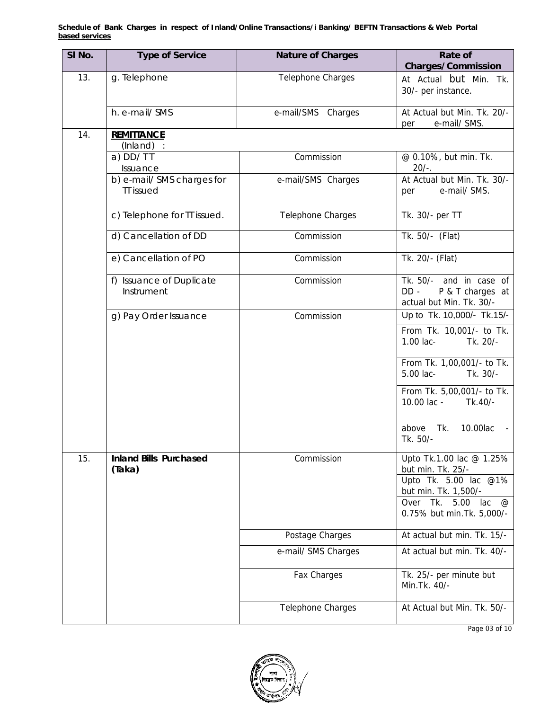| SI No. | <b>Type of Service</b>                         | <b>Nature of Charges</b> | Rate of<br><b>Charges/Commission</b>                                              |
|--------|------------------------------------------------|--------------------------|-----------------------------------------------------------------------------------|
| 13.    | g. Telephone                                   | Telephone Charges        | At Actual but Min. Tk.<br>30/- per instance.                                      |
|        | h. e-mail/ SMS                                 | e-mail/SMS Charges       | At Actual but Min. Tk. 20/-<br>e-mail/ SMS.<br>per                                |
| 14.    | <b>REMITTANCE</b><br>$(Inland)$ :              |                          |                                                                                   |
|        | $a)$ DD/TT<br>Issuance                         | Commission               | @ 0.10%, but min. Tk.<br>$20/-$ .                                                 |
|        | b) e-mail/ SMS charges for<br><b>TT</b> issued | e-mail/SMS Charges       | At Actual but Min. Tk. 30/-<br>e-mail/ SMS.<br>per                                |
|        | c) Telephone for TT issued.                    | Telephone Charges        | Tk. 30/- per TT                                                                   |
|        | d) Cancellation of DD                          | Commission               | Tk. 50/- (Flat)                                                                   |
|        | e) Cancellation of PO                          | Commission               | Tk. 20/- (Flat)                                                                   |
|        | f) Issuance of Duplicate<br>Instrument         | Commission               | Tk. 50/- and in case of<br>$DD -$<br>P & T charges at<br>actual but Min. Tk. 30/- |
|        | g) Pay Order Issuance                          | Commission               | Up to Tk. 10,000/- Tk.15/-                                                        |
|        |                                                |                          | From Tk. 10,001/- to Tk.<br>1.00 lac-<br>Tk. 20/-                                 |
|        |                                                |                          | From Tk. 1,00,001/- to Tk.<br>5.00 lac-<br>Tk. 30/-                               |
|        |                                                |                          | From Tk. 5,00,001/- to Tk.<br>10.00 lac -<br>Tk.40/-                              |
|        |                                                |                          | 10.00lac<br>above Tk.<br>Tk. 50/-                                                 |
| 15.    | <b>Inland Bills Purchased</b><br>(Taka)        | Commission               | Upto Tk.1.00 lac @ 1.25%<br>but min. Tk. 25/-<br>Upto Tk. 5.00 lac @1%            |
|        |                                                |                          | but min. Tk. 1,500/-                                                              |
|        |                                                |                          | Over Tk. 5.00<br>lac<br>$^{\textregistered}$<br>0.75% but min. Tk. 5,000/-        |
|        |                                                | Postage Charges          | At actual but min. Tk. 15/-                                                       |
|        |                                                | e-mail/ SMS Charges      | At actual but min. Tk. 40/-                                                       |
|        |                                                | Fax Charges              | Tk. 25/- per minute but<br>Min. Tk. 40/-                                          |
|        |                                                | Telephone Charges        | At Actual but Min. Tk. 50/-                                                       |



Page 03 of 10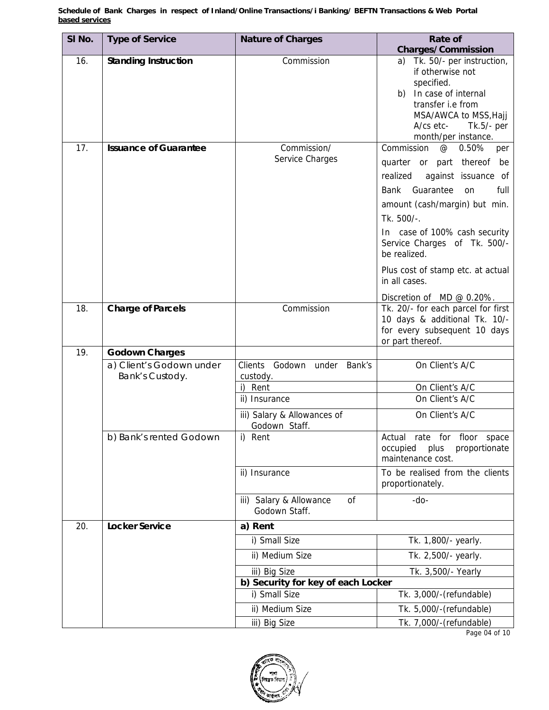| SI No. | <b>Type of Service</b>                      | <b>Nature of Charges</b>                       | Rate of                                                                                                                                                                   |
|--------|---------------------------------------------|------------------------------------------------|---------------------------------------------------------------------------------------------------------------------------------------------------------------------------|
|        |                                             |                                                | <b>Charges/Commission</b>                                                                                                                                                 |
| 16.    | <b>Standing Instruction</b>                 | Commission                                     | Tk. 50/- per instruction,<br>a)<br>if otherwise not<br>specified.<br>In case of internal<br>b)<br>transfer i.e from<br>MSA/AWCA to MSS, Hajj<br>A/cs etc-<br>$Tk.5/-$ per |
| 17.    | <b>Issuance of Guarantee</b>                | Commission/                                    | month/per instance.<br>Commission<br>0.50%<br>@<br>per                                                                                                                    |
|        |                                             | Service Charges                                | quarter or part thereof<br>be<br>realized<br>against issuance of<br>Guarantee<br>full<br>Bank<br>on<br>amount (cash/margin) but min.<br>Tk. 500/-.                        |
|        |                                             |                                                | In case of 100% cash security<br>Service Charges of Tk. 500/-<br>be realized.                                                                                             |
|        |                                             |                                                | Plus cost of stamp etc. at actual<br>in all cases.                                                                                                                        |
|        |                                             |                                                | Discretion of MD @ 0.20%.                                                                                                                                                 |
| 18.    | <b>Charge of Parcels</b>                    | Commission                                     | Tk. 20/- for each parcel for first<br>10 days & additional Tk. 10/-<br>for every subsequent 10 days<br>or part thereof.                                                   |
| 19.    | <b>Godown Charges</b>                       |                                                |                                                                                                                                                                           |
|        | a) Client's Godown under<br>Bank's Custody. | Clients Godown under<br>Bank's<br>custody.     | On Client's A/C                                                                                                                                                           |
|        |                                             | i) Rent                                        | On Client's A/C                                                                                                                                                           |
|        |                                             | ii) Insurance                                  | On Client's A/C                                                                                                                                                           |
|        |                                             | iii) Salary & Allowances of<br>Godown Staff.   | On Client's A/C                                                                                                                                                           |
|        | b) Bank's rented Godown                     | i) Rent                                        | Actual rate for floor space<br>proportionate<br>occupied<br>plus<br>maintenance cost.                                                                                     |
|        |                                             | ii) Insurance                                  | To be realised from the clients<br>proportionately.                                                                                                                       |
|        |                                             | iii) Salary & Allowance<br>0f<br>Godown Staff. | -do-                                                                                                                                                                      |
| 20.    | <b>Locker Service</b>                       | a) Rent                                        |                                                                                                                                                                           |
|        |                                             | i) Small Size                                  | Tk. 1,800/- yearly.                                                                                                                                                       |
|        |                                             | ii) Medium Size                                | Tk. 2,500/- yearly.                                                                                                                                                       |
|        |                                             | iii) Big Size                                  | Tk. 3,500/- Yearly                                                                                                                                                        |
|        |                                             | b) Security for key of each Locker             |                                                                                                                                                                           |
|        |                                             | i) Small Size                                  | Tk. 3,000/-(refundable)                                                                                                                                                   |
|        |                                             | ii) Medium Size                                | Tk. 5,000/-(refundable)                                                                                                                                                   |
|        |                                             | iii) Big Size                                  | Tk. 7,000/-(refundable)                                                                                                                                                   |



Page 04 of 10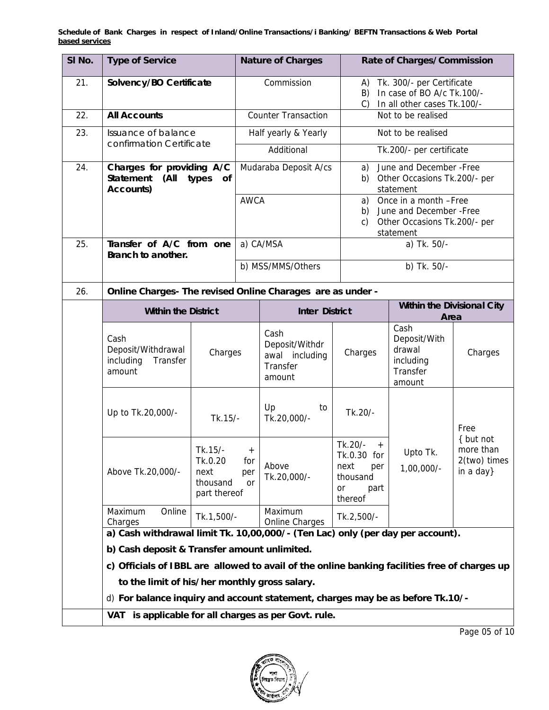| SI No. | <b>Type of Service</b>                                                                        |                                                        |                            | <b>Nature of Charges</b>                                       |                                                                                   | Rate of Charges/Commission                                                                     |                                                     |  |
|--------|-----------------------------------------------------------------------------------------------|--------------------------------------------------------|----------------------------|----------------------------------------------------------------|-----------------------------------------------------------------------------------|------------------------------------------------------------------------------------------------|-----------------------------------------------------|--|
| 21.    |                                                                                               | Solvency/BO Certificate                                |                            | Commission                                                     | A)<br>B)                                                                          | Tk. 300/- per Certificate<br>In case of BO A/c Tk.100/-<br>In all other cases Tk.100/-<br>C)   |                                                     |  |
| 22.    | <b>All Accounts</b>                                                                           |                                                        | <b>Counter Transaction</b> |                                                                |                                                                                   | Not to be realised                                                                             |                                                     |  |
| 23.    | Issuance of balance                                                                           |                                                        |                            | Half yearly & Yearly                                           |                                                                                   | Not to be realised                                                                             |                                                     |  |
|        | confirmation Certificate                                                                      |                                                        |                            | Additional                                                     |                                                                                   | Tk.200/- per certificate                                                                       |                                                     |  |
| 24.    | Charges for providing A/C<br>Statement<br>(All<br>types<br>0f<br>Accounts)                    |                                                        |                            | Mudaraba Deposit A/cs                                          | a)<br>b)                                                                          | June and December - Free<br>Other Occasions Tk.200/- per<br>statement                          |                                                     |  |
|        |                                                                                               |                                                        | <b>AWCA</b>                |                                                                | a)<br>b)<br>c)                                                                    | Once in a month -Free<br>June and December - Free<br>Other Occasions Tk.200/- per<br>statement |                                                     |  |
| 25.    | Transfer of A/C from one<br>Branch to another.                                                |                                                        |                            | a) CA/MSA                                                      |                                                                                   | a) Tk. 50/-                                                                                    |                                                     |  |
|        |                                                                                               |                                                        |                            | b) MSS/MMS/Others                                              |                                                                                   |                                                                                                | b) Tk. 50/-                                         |  |
| 26.    | Online Charges- The revised Online Charages are as under -                                    |                                                        |                            |                                                                |                                                                                   |                                                                                                |                                                     |  |
|        | <b>Within the District</b>                                                                    |                                                        |                            | <b>Inter District</b>                                          |                                                                                   | Within the Divisional City<br>Area                                                             |                                                     |  |
|        | Cash<br>Deposit/Withdrawal<br>including<br>Transfer<br>amount                                 | Charges                                                |                            | Cash<br>Deposit/Withdr<br>awal including<br>Transfer<br>amount | Charges                                                                           | Cash<br>Deposit/With<br>drawal<br>including<br>Transfer<br>amount                              | Charges                                             |  |
|        | Up to Tk.20,000/-                                                                             | Tk.15/-                                                |                            | Up<br>to<br>Tk.20,000/-                                        | Tk.20/-                                                                           |                                                                                                | Free                                                |  |
|        | Above Tk.20,000/-                                                                             | Tk.15/-<br>Tk.0.20<br>next<br>thousand<br>part thereof | $^{+}$<br>for<br>per<br>or | Above<br>Tk.20,000/-                                           | Tk.20/-<br>$+$<br>Tk.0.30 for<br>next<br>per<br>thousand<br>or<br>part<br>thereof | Upto Tk.<br>$1,00,000/-$                                                                       | { but not<br>more than<br>2(two) times<br>in a day} |  |
|        | Maximum<br>Online<br>Charges                                                                  | Tk.1,500/-                                             |                            | Maximum<br>Online Charges                                      | Tk.2,500/-                                                                        |                                                                                                |                                                     |  |
|        | a) Cash withdrawal limit Tk. 10,00,000/- (Ten Lac) only (per day per account).                |                                                        |                            |                                                                |                                                                                   |                                                                                                |                                                     |  |
|        | b) Cash deposit & Transfer amount unlimited.                                                  |                                                        |                            |                                                                |                                                                                   |                                                                                                |                                                     |  |
|        | c) Officials of IBBL are allowed to avail of the online banking facilities free of charges up |                                                        |                            |                                                                |                                                                                   |                                                                                                |                                                     |  |
|        | to the limit of his/her monthly gross salary.                                                 |                                                        |                            |                                                                |                                                                                   |                                                                                                |                                                     |  |
|        | d) For balance inquiry and account statement, charges may be as before Tk.10/-                |                                                        |                            |                                                                |                                                                                   |                                                                                                |                                                     |  |
|        | VAT is applicable for all charges as per Govt. rule.                                          |                                                        |                            |                                                                |                                                                                   |                                                                                                |                                                     |  |

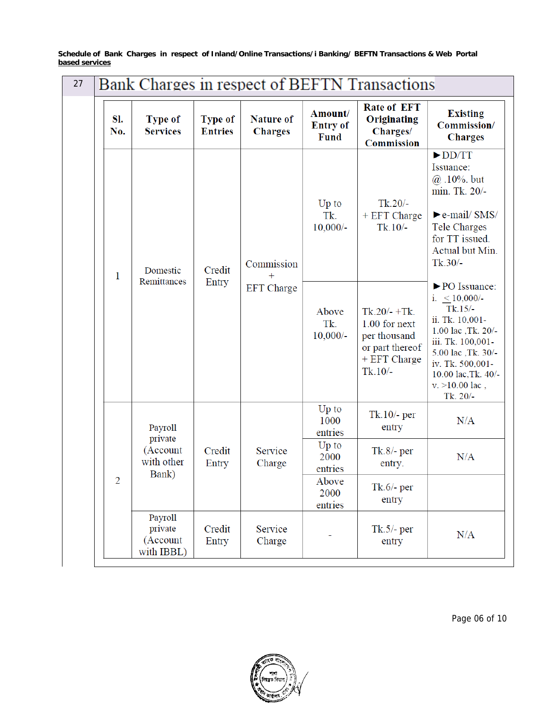| 27 | <b>Bank Charges in respect of BEFTN Transactions</b> |                                              |                                  |                                    |                                           |                                                                                                    |                                                                                                                                                                                                                   |  |
|----|------------------------------------------------------|----------------------------------------------|----------------------------------|------------------------------------|-------------------------------------------|----------------------------------------------------------------------------------------------------|-------------------------------------------------------------------------------------------------------------------------------------------------------------------------------------------------------------------|--|
|    | SI.<br>No.                                           | <b>Type of</b><br><b>Services</b>            | <b>Type of</b><br><b>Entries</b> | <b>Nature of</b><br><b>Charges</b> | Amount/<br><b>Entry of</b><br><b>Fund</b> | <b>Rate of EFT</b><br>Originating<br>Charges/<br><b>Commission</b>                                 | <b>Existing</b><br>Commission/<br><b>Charges</b>                                                                                                                                                                  |  |
|    | 1                                                    | Domestic                                     | Credit                           | Commission<br>$^{+}$               | Up to<br>Tk.<br>$10,000/-$                | $Tk.20/-$<br>+ EFT Charge<br>$Tk.10/-$                                                             | $\blacktriangleright$ DD/TT<br>Issuance:<br>$@.10\%$ . but<br>min. Tk. 20/-<br>$\blacktriangleright$ e-mail/ SMS/<br>Tele Charges<br>for TT issued.<br>Actual but Min.<br>$Tk.30/-$                               |  |
|    |                                                      | Remittances                                  | Entry                            | <b>EFT</b> Charge                  | Above<br>Tk.<br>$10,000/-$                | $Tk.20/- + Tk.$<br>$1.00$ for next<br>per thousand<br>or part thereof<br>+ EFT Charge<br>$Tk.10/-$ | ▶ PO Issuance:<br>i. $< 10,000/$ -<br>$Tk.15/-$<br>ii. Tk. 10,001-<br>1.00 lac , Tk. 20/-<br>iii. Tk. 100,001-<br>5.00 lac , Tk. 30/-<br>iv. Tk. 500,001-<br>10.00 lac, Tk. 40/-<br>$v. > 10.00$ lac,<br>Tk. 20/- |  |
|    |                                                      | Payroll<br>private                           |                                  |                                    | Up to<br>1000<br>entries                  | $Tk.10/-$ per<br>entry                                                                             | N/A                                                                                                                                                                                                               |  |
|    |                                                      | (Account<br>with other<br>Bank)              | Credit<br>Entry                  | Service<br>Charge                  | $Up$ to<br>2000<br>entries                | $Tk.8/-$ per<br>entry.                                                                             | N/A                                                                                                                                                                                                               |  |
|    | $\overline{2}$                                       |                                              |                                  |                                    | Above<br>2000<br>entries                  | $Tk.6/-$ per<br>entry                                                                              |                                                                                                                                                                                                                   |  |
|    |                                                      | Payroll<br>private<br>(Account<br>with IBBL) | Credit<br>Entry                  | Service<br>Charge                  |                                           | $Tk.5/-$ per<br>entry                                                                              | N/A                                                                                                                                                                                                               |  |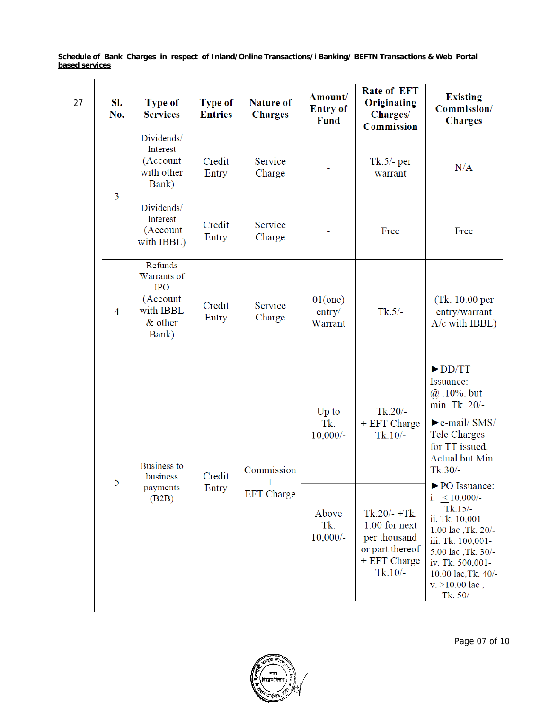| 27 | SI.<br>No. | <b>Type of</b><br><b>Services</b>                                                 | <b>Type of</b><br><b>Entries</b> | <b>Nature of</b><br><b>Charges</b> | Amount/<br><b>Entry of</b><br><b>Fund</b> | <b>Rate of EFT</b><br>Originating<br>Charges/<br><b>Commission</b>                               | <b>Existing</b><br>Commission/<br><b>Charges</b>                                                                                                                                                                     |
|----|------------|-----------------------------------------------------------------------------------|----------------------------------|------------------------------------|-------------------------------------------|--------------------------------------------------------------------------------------------------|----------------------------------------------------------------------------------------------------------------------------------------------------------------------------------------------------------------------|
|    | 3          | Dividends/<br>Interest<br>(Account<br>with other<br>Bank)                         | Credit<br>Entry                  | Service<br>Charge                  |                                           | $Tk.5/-$ per<br>warrant                                                                          | N/A                                                                                                                                                                                                                  |
|    |            | Dividends/<br>Interest<br>(Account<br>with IBBL)                                  | Credit<br>Entry                  | Service<br>Charge                  |                                           | Free                                                                                             | Free                                                                                                                                                                                                                 |
|    | 4          | Refunds<br>Warrants of<br><b>IPO</b><br>(Account<br>with IBBL<br>& other<br>Bank) | Credit<br>Entry                  | Service<br>Charge                  | $01$ (one)<br>entry/<br>Warrant           | $Tk.5/-$                                                                                         | (Tk. 10.00 per<br>entry/warrant<br>A/c with IBBL)                                                                                                                                                                    |
|    | 5          | <b>Business to</b><br>business                                                    | Credit                           | Commission<br>$+$                  | Up to<br>Tk.<br>$10,000/-$                | $Tk.20/-$<br>+ EFT Charge<br>$Tk.10/-$                                                           | $\blacktriangleright$ DD/TT<br>Issuance:<br>$@.10\%$ . but<br>min. Tk. 20/-<br>$\blacktriangleright$ e-mail/ SMS/<br><b>Tele Charges</b><br>for TT issued.<br>Actual but Min.<br>$Tk.30/-$                           |
|    |            | payments<br>(B2B)                                                                 | Entry                            | <b>EFT</b> Charge                  | Above<br>Tk.<br>$10,000/-$                | $Tk.20/- + Tk.$<br>1.00 for next<br>per thousand<br>or part thereof<br>+ EFT Charge<br>$Tk.10/-$ | ▶ PO Issuance:<br>i. $\leq 10,000/$ -<br>$Tk.15/-$<br>ii. Tk. 10,001-<br>1.00 lac , Tk. 20/-<br>iii. Tk. 100,001-<br>5.00 lac , Tk. 30/-<br>iv. Tk. 500,001-<br>10.00 lac, Tk. 40/-<br>$v. > 10.00$ lac,<br>Tk. 50/- |

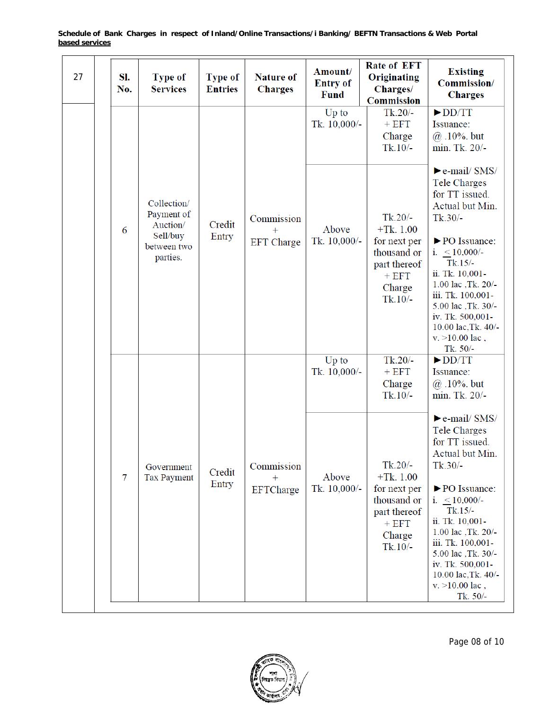| 27 | SI.<br>No.     | <b>Type of</b><br><b>Services</b>                                            | <b>Type of</b><br><b>Entries</b> | <b>Nature of</b><br><b>Charges</b> | Amount/<br><b>Entry of</b><br><b>Fund</b> | Rate of EFT<br>Originating<br>Charges/<br><b>Commission</b>                                               | <b>Existing</b><br>Commission/<br><b>Charges</b>                                                                                                                                                                                                                                                                                    |
|----|----------------|------------------------------------------------------------------------------|----------------------------------|------------------------------------|-------------------------------------------|-----------------------------------------------------------------------------------------------------------|-------------------------------------------------------------------------------------------------------------------------------------------------------------------------------------------------------------------------------------------------------------------------------------------------------------------------------------|
|    |                |                                                                              |                                  |                                    | Up to<br>Tk. 10,000/-                     | $Tk.20/-$<br>$+ EFT$<br>Charge<br>$Tk.10/-$                                                               | $\blacktriangleright$ DD/TT<br>Issuance:<br>$@.10\%$ . but<br>min. Tk. 20/-                                                                                                                                                                                                                                                         |
|    | 6              | Collection/<br>Payment of<br>Auction/<br>Sell/buy<br>between two<br>parties. | Credit<br>Entry                  | Commission<br><b>EFT</b> Charge    | Above<br>Tk. 10,000/-                     | $Tk.20/-$<br>$+Tk. 1.00$<br>for next per<br>thousand or<br>part thereof<br>$+ EFT$<br>Charge<br>$Tk.10/-$ | $\blacktriangleright$ e-mail/ SMS/<br><b>Tele Charges</b><br>for TT issued.<br>Actual but Min.<br>$Tk.30/-$<br>▶ PO Issuance:<br>i. $< 10,000/$ -<br>$Tk.15/-$<br>ii. Tk. 10,001-<br>1.00 lac , Tk. 20/-<br>iii. Tk. 100,001-<br>5.00 lac , Tk. 30/-<br>iv. Tk. 500,001-<br>10.00 lac, Tk. 40/-<br>$v. > 10.00$ lac,<br>Tk. 50/-    |
|    |                |                                                                              |                                  |                                    | Up to<br>Tk. 10,000/-                     | $Tk.20/-$<br>$+ EFT$<br>Charge<br>$Tk.10/-$                                                               | $\blacktriangleright$ DD/TT<br>Issuance:<br>$@.10\%$ . but<br>min. Tk. 20/-                                                                                                                                                                                                                                                         |
|    | $\overline{7}$ | Government<br><b>Tax Payment</b>                                             | Credit<br>Entry                  | Commission<br>EFTCharge            | Above<br>Tk. 10,000/-                     | $Tk.20/-$<br>$+Tk. 1.00$<br>for next per<br>thousand or<br>part thereof<br>$+ EFT$<br>Charge<br>$Tk.10/-$ | $\blacktriangleright$ e-mail/ SMS/<br><b>Tele Charges</b><br>for TT issued.<br>Actual but Min.<br>$Tk.30/-$<br>▶ PO Issuance:<br>i. $\leq 10,000/$ -<br>$Tk.15/-$<br>ii. Tk. 10,001-<br>1.00 lac , Tk. 20/-<br>iii. Tk. 100,001-<br>5.00 lac , Tk. 30/-<br>iv. Tk. 500,001-<br>10.00 lac, Tk. 40/-<br>$v. > 10.00$ lac,<br>Tk. 50/- |

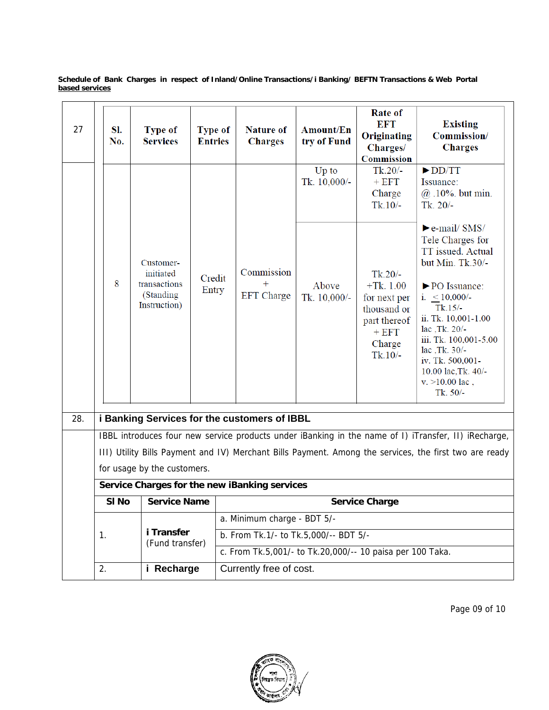| 27  | SI.<br>No. | <b>Type of</b><br><b>Services</b>                                   | <b>Type of</b><br><b>Entries</b> | <b>Nature of</b><br><b>Charges</b>                        | Amount/En<br>try of Fund | Rate of<br><b>EFT</b><br>Originating<br>Charges/<br>Commission                                            | <b>Existing</b><br>Commission/<br><b>Charges</b>                                                                                                                                                                                                                                                                   |  |
|-----|------------|---------------------------------------------------------------------|----------------------------------|-----------------------------------------------------------|--------------------------|-----------------------------------------------------------------------------------------------------------|--------------------------------------------------------------------------------------------------------------------------------------------------------------------------------------------------------------------------------------------------------------------------------------------------------------------|--|
|     |            |                                                                     |                                  |                                                           | Up to<br>Tk. 10,000/-    | $Tk.20/-$<br>$+ EFT$<br>Charge<br>$Tk.10/-$                                                               | $\blacktriangleright$ DD/TT<br>Issuance:<br>$@.10\%$ but min.<br>Tk. $20/-$                                                                                                                                                                                                                                        |  |
|     | 8          | Customer-<br>initiated<br>transactions<br>(Standing<br>Instruction) | Credit<br>Entry                  | Commission<br><b>EFT</b> Charge                           | Above<br>Tk. 10,000/-    | $Tk.20/-$<br>$+Tk. 1.00$<br>for next per<br>thousand or<br>part thereof<br>$+ EFT$<br>Charge<br>$Tk.10/-$ | $\blacktriangleright$ e-mail/ SMS/<br>Tele Charges for<br>TT issued. Actual<br>but Min. Tk.30/-<br>▶ PO Issuance:<br>i. $< 10,000/$ -<br>$Tk.15/-$<br>ii. Tk. 10,001-1.00<br>lac ,Tk. 20/-<br>iii. Tk. 100,001-5.00<br>lac ,Tk. 30/-<br>iv. Tk. 500,001-<br>10.00 lac, Tk. 40/-<br>$v. > 10.00$ lac,<br>Tk. $50/-$ |  |
| 28. |            |                                                                     |                                  | i Banking Services for the customers of IBBL              |                          |                                                                                                           |                                                                                                                                                                                                                                                                                                                    |  |
|     |            |                                                                     |                                  |                                                           |                          |                                                                                                           | IBBL introduces four new service products under iBanking in the name of I) iTransfer, II) iRecharge,<br>III) Utility Bills Payment and IV) Merchant Bills Payment. Among the services, the first two are ready                                                                                                     |  |
|     |            | for usage by the customers.                                         |                                  |                                                           |                          |                                                                                                           |                                                                                                                                                                                                                                                                                                                    |  |
|     |            |                                                                     |                                  | Service Charges for the new iBanking services             |                          |                                                                                                           |                                                                                                                                                                                                                                                                                                                    |  |
|     | SI No      | <b>Service Name</b>                                                 |                                  |                                                           |                          | <b>Service Charge</b>                                                                                     |                                                                                                                                                                                                                                                                                                                    |  |
|     |            |                                                                     |                                  | a. Minimum charge - BDT 5/-                               |                          |                                                                                                           |                                                                                                                                                                                                                                                                                                                    |  |
|     | 1.         | i Transfer<br>(Fund transfer)                                       |                                  | b. From Tk.1/- to Tk.5,000/-- BDT 5/-                     |                          |                                                                                                           |                                                                                                                                                                                                                                                                                                                    |  |
|     |            |                                                                     |                                  | c. From Tk.5,001/- to Tk.20,000/-- 10 paisa per 100 Taka. |                          |                                                                                                           |                                                                                                                                                                                                                                                                                                                    |  |
|     | 2.         | i Recharge                                                          |                                  | Currently free of cost.                                   |                          |                                                                                                           |                                                                                                                                                                                                                                                                                                                    |  |

Page 09 of 10